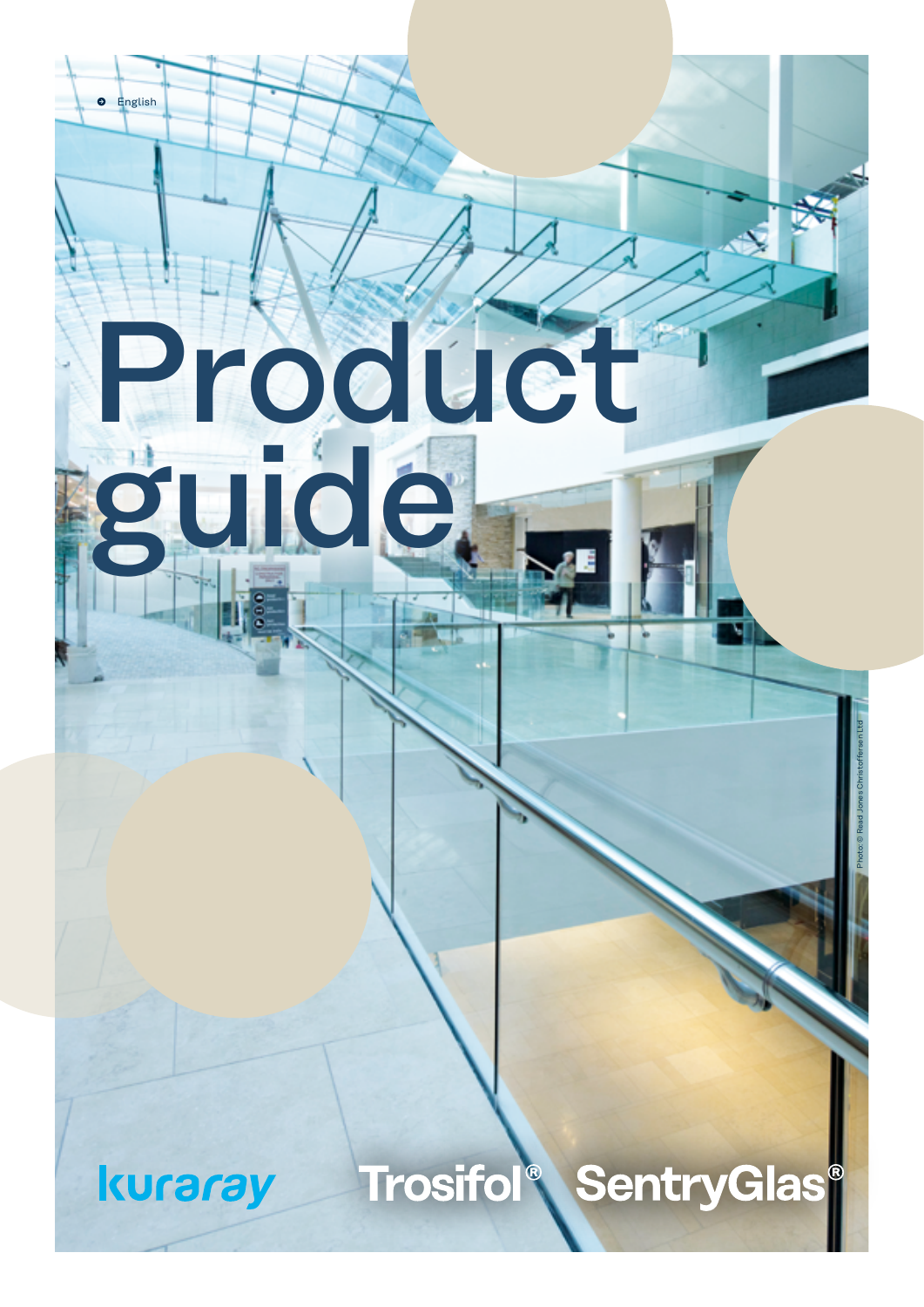#### Trosifol **SentryGlas®**  $\bigcirc$

## kuraray

English

Product

uidé,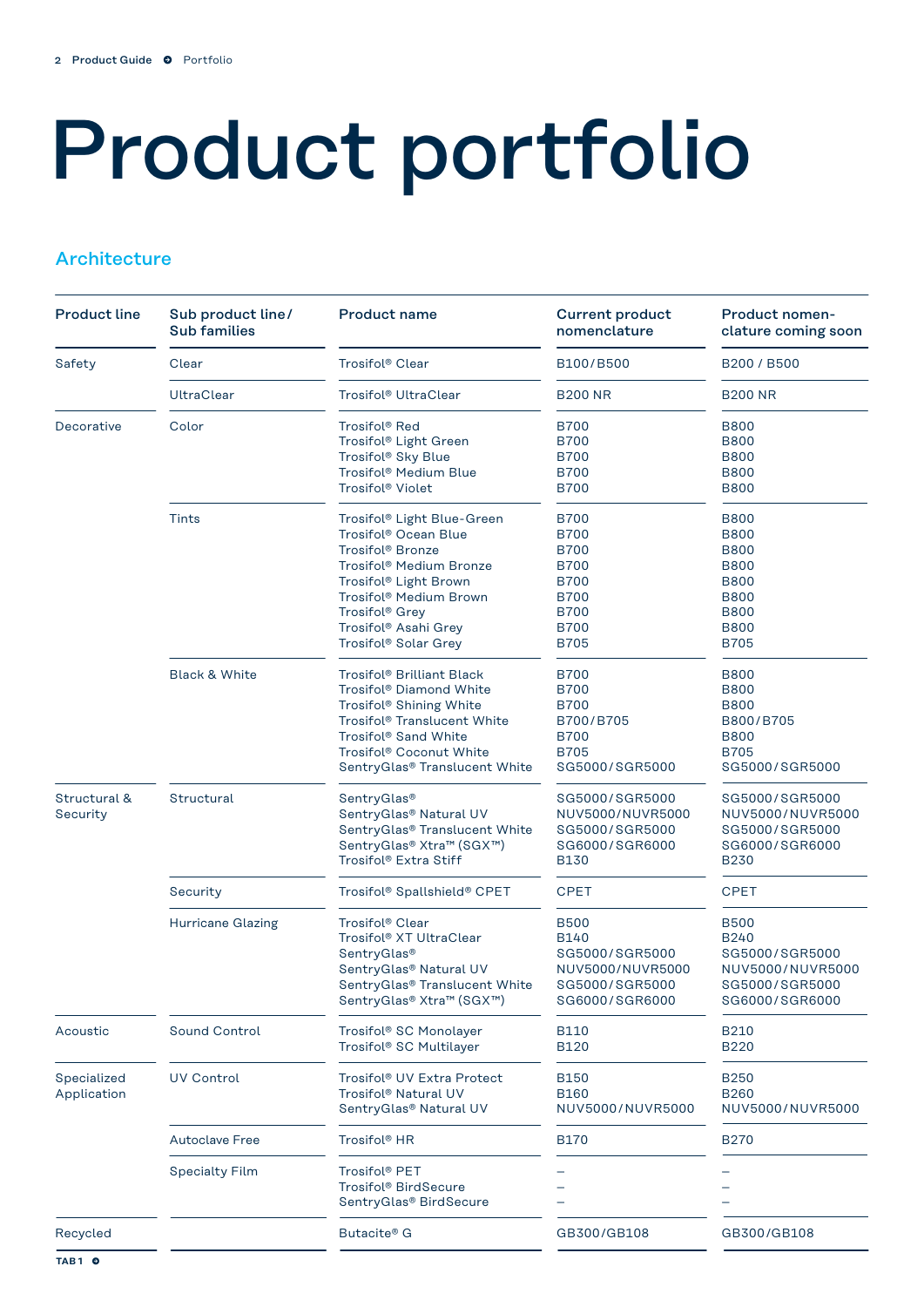# Product portfolio

#### **Architecture**

| <b>Product line</b>        | Sub product line/<br><b>Sub families</b> | <b>Product name</b>                                                                                                                                                                                                                                        | <b>Current product</b><br>nomenclature                                                                                              | <b>Product nomen-</b><br>clature coming soon                                                                                        |
|----------------------------|------------------------------------------|------------------------------------------------------------------------------------------------------------------------------------------------------------------------------------------------------------------------------------------------------------|-------------------------------------------------------------------------------------------------------------------------------------|-------------------------------------------------------------------------------------------------------------------------------------|
| Safety                     | Clear                                    | Trosifol® Clear                                                                                                                                                                                                                                            | B100/B500                                                                                                                           | B200 / B500                                                                                                                         |
|                            | <b>UltraClear</b>                        | Trosifol® UltraClear                                                                                                                                                                                                                                       | <b>B200 NR</b>                                                                                                                      | <b>B200 NR</b>                                                                                                                      |
| Decorative                 | Color                                    | Trosifol® Red<br>Trosifol® Light Green<br>Trosifol® Sky Blue<br>Trosifol® Medium Blue<br>Trosifol® Violet                                                                                                                                                  | <b>B700</b><br><b>B700</b><br><b>B700</b><br><b>B700</b><br><b>B700</b>                                                             | <b>B800</b><br><b>B800</b><br><b>B800</b><br><b>B800</b><br><b>B800</b>                                                             |
|                            | Tints                                    | Trosifol® Light Blue-Green<br>Trosifol® Ocean Blue<br>Trosifol <sup>®</sup> Bronze<br>Trosifol® Medium Bronze<br>Trosifol® Light Brown<br>Trosifol <sup>®</sup> Medium Brown<br>Trosifol <sup>®</sup> Grey<br>Trosifol® Asahi Grey<br>Trosifol® Solar Grey | <b>B700</b><br><b>B700</b><br><b>B700</b><br><b>B700</b><br><b>B700</b><br><b>B700</b><br><b>B700</b><br><b>B700</b><br><b>B705</b> | <b>B800</b><br><b>B800</b><br><b>B800</b><br><b>B800</b><br><b>B800</b><br><b>B800</b><br><b>B800</b><br><b>B800</b><br><b>B705</b> |
|                            | <b>Black &amp; White</b>                 | Trosifol® Brilliant Black<br>Trosifol® Diamond White<br>Trosifol® Shining White<br>Trosifol® Translucent White<br>Trosifol® Sand White<br>Trosifol® Coconut White<br>SentryGlas® Translucent White                                                         | <b>B700</b><br><b>B700</b><br><b>B700</b><br>B700/B705<br><b>B700</b><br><b>B705</b><br>SG5000/SGR5000                              | <b>B800</b><br><b>B800</b><br><b>B800</b><br>B800/B705<br><b>B800</b><br><b>B705</b><br>SG5000/SGR5000                              |
| Structural &<br>Security   | Structural                               | SentryGlas®<br>SentryGlas® Natural UV<br>SentryGlas® Translucent White<br>SentryGlas® Xtra™ (SGX™)<br>Trosifol® Extra Stiff                                                                                                                                | SG5000/SGR5000<br>NUV5000/NUVR5000<br>SG5000/SGR5000<br>SG6000/SGR6000<br><b>B130</b>                                               | SG5000/SGR5000<br>NUV5000/NUVR5000<br>SG5000/SGR5000<br>SG6000/SGR6000<br><b>B230</b>                                               |
|                            | Security                                 | Trosifol® Spallshield® CPET                                                                                                                                                                                                                                | <b>CPET</b>                                                                                                                         | <b>CPET</b>                                                                                                                         |
|                            | <b>Hurricane Glazing</b>                 | Trosifol® Clear<br>Trosifol® XT UltraClear<br>SentryGlas <sup>®</sup><br>SentryGlas® Natural UV<br>SentryGlas® Translucent White<br>SentryGlas® Xtra™ (SGX™)                                                                                               | <b>B500</b><br><b>B140</b><br>SG5000/SGR5000<br>NUV5000/NUVR5000<br>SG5000/SGR5000<br>SG6000/SGR6000                                | <b>B500</b><br><b>B240</b><br>SG5000/SGR5000<br>NUV5000/NUVR5000<br>SG5000/SGR5000<br>SG6000/SGR6000                                |
| Acoustic                   | <b>Sound Control</b>                     | Trosifol® SC Monolayer<br>Trosifol® SC Multilayer                                                                                                                                                                                                          | B110<br><b>B120</b>                                                                                                                 | <b>B210</b><br><b>B220</b>                                                                                                          |
| Specialized<br>Application | <b>UV Control</b>                        | Trosifol® UV Extra Protect<br>Trosifol® Natural UV<br>SentryGlas® Natural UV                                                                                                                                                                               | <b>B150</b><br><b>B160</b><br>NUV5000/NUVR5000                                                                                      | <b>B250</b><br><b>B260</b><br>NUV5000/NUVR5000                                                                                      |
|                            | <b>Autoclave Free</b>                    | Trosifol <sup>®</sup> HR                                                                                                                                                                                                                                   | <b>B170</b>                                                                                                                         | <b>B270</b>                                                                                                                         |
|                            | <b>Specialty Film</b>                    | Trosifol® PET<br>Trosifol® BirdSecure<br>SentryGlas® BirdSecure                                                                                                                                                                                            |                                                                                                                                     |                                                                                                                                     |
| Recycled                   |                                          | Butacite® G                                                                                                                                                                                                                                                | GB300/GB108                                                                                                                         | GB300/GB108                                                                                                                         |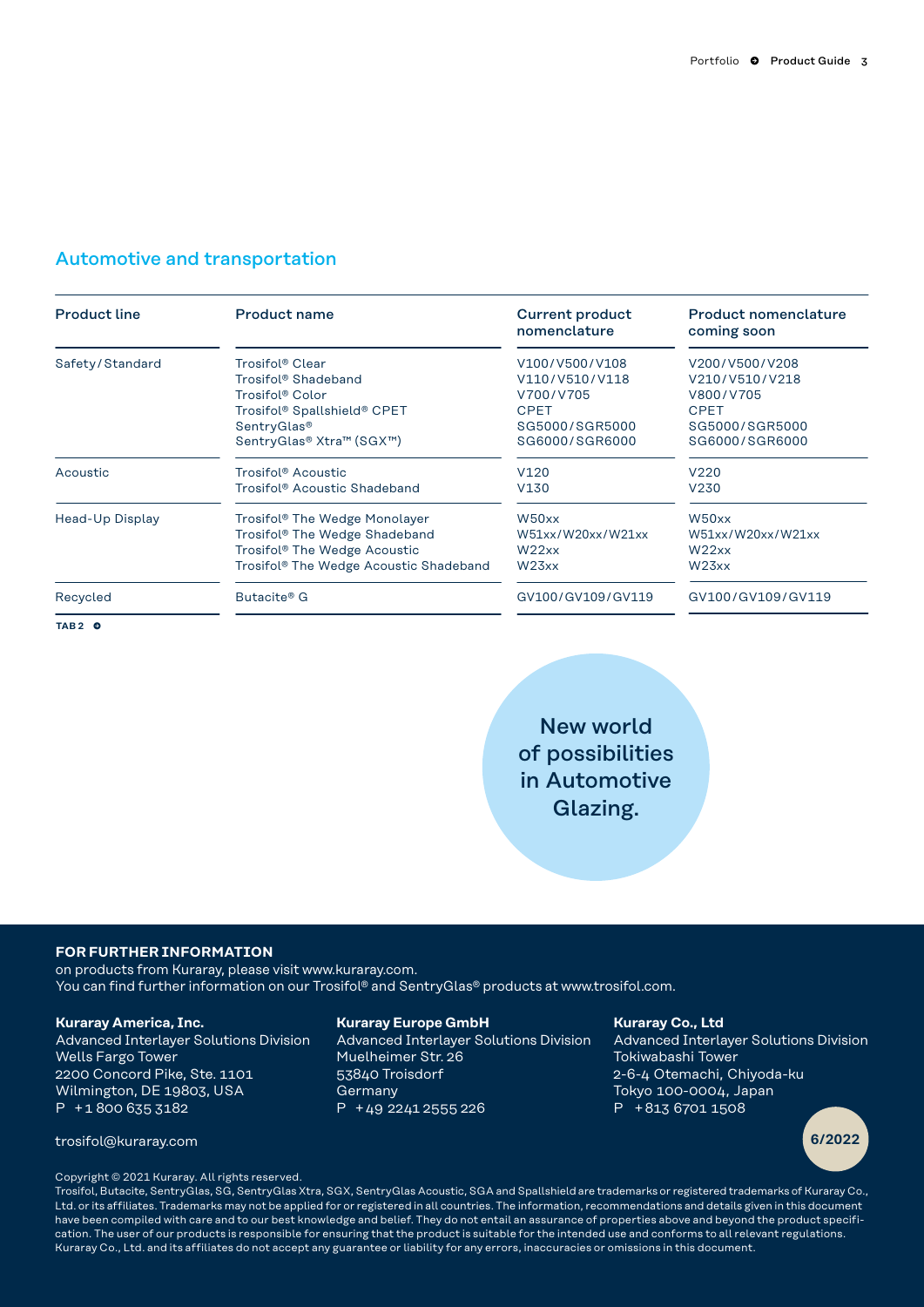#### Automotive and transportation

| <b>Product line</b> | Product name                                       | <b>Current product</b><br>nomenclature | <b>Product nomenclature</b><br>coming soon |
|---------------------|----------------------------------------------------|----------------------------------------|--------------------------------------------|
| Safety/Standard     | Trosifol® Clear                                    | V100/V500/V108                         | V200/V500/V208                             |
|                     | Trosifol® Shadeband                                | V110/V510/V118                         | V210/V510/V218                             |
|                     | Trosifol® Color                                    | V700/V705                              | V800/V705                                  |
|                     | Trosifol <sup>®</sup> Spallshield® CPET            | <b>CPET</b>                            | <b>CPET</b>                                |
|                     | SentryGlas®                                        | SG5000/SGR5000                         | SG5000/SGR5000                             |
|                     | SentryGlas® Xtra™ (SGX™)                           | SG6000/SGR6000                         | SG6000/SGR6000                             |
| Acoustic            | Trosifol® Acoustic                                 | V <sub>120</sub>                       | V220                                       |
|                     | Trosifol® Acoustic Shadeband                       | V130                                   | V230                                       |
| Head-Up Display     | Trosifol® The Wedge Monolayer                      | W50xx                                  | W50xx                                      |
|                     | Trosifol® The Wedge Shadeband                      | W51xx/W20xx/W21xx                      | W51xx/W20xx/W21xx                          |
|                     | Trosifol <sup>®</sup> The Wedge Acoustic           | W22xx                                  | W22xx                                      |
|                     | Trosifol <sup>®</sup> The Wedge Acoustic Shadeband | W <sub>23</sub> xx                     | W <sub>23</sub> xx                         |
| Recycled            | Butacite® G                                        | GV100/GV109/GV119                      | GV100/GV109/GV119                          |
| TAB <sub>2</sub> O  |                                                    |                                        |                                            |

New world of possibilities in Automotive Glazing.

#### **FOR FURTHER INFORMATION**

on products from Kuraray, please visit www.kuraray.com. You can find further information on our Trosifol® and SentryGlas® products at www.trosifol.com.

#### **Kuraray America, Inc.**

Advanced Interlayer Solutions Division Wells Fargo Tower 2200 Concord Pike, Ste. 1101 Wilmington, DE 19803, USA P + 1 800 635 3182

#### **Kuraray Europe GmbH**

Advanced Interlayer Solutions Division Muelheimer Str. 26 53840 Troisdorf Germany P + 49  2241 2555 226

#### **Kuraray Co., Ltd**

Advanced Interlayer Solutions Division Tokiwabashi Tower 2-6-4 Otemachi, Chiyoda-ku Tokyo 100-0004, Japan P + 813 6701 1508



trosifol@kuraray.com **6/2022**

Copyright © 2021 Kuraray. All rights reserved.

Trosifol, Butacite, SentryGlas, SG, SentryGlas Xtra, SGX, SentryGlas Acoustic, SGA and Spallshield are trademarks or registered trademarks of Kuraray Co., Ltd. or its affiliates. Trademarks may not be applied for or registered in all countries. The information, recommendations and details given in this document have been compiled with care and to our best knowledge and belief. They do not entail an assurance of properties above and beyond the product specification. The user of our products is responsible for ensuring that the product is suitable for the intended use and conforms to all relevant regulations. Kuraray Co., Ltd. and its affiliates do not accept any guarantee or liability for any errors, inaccuracies or omissions in this document.